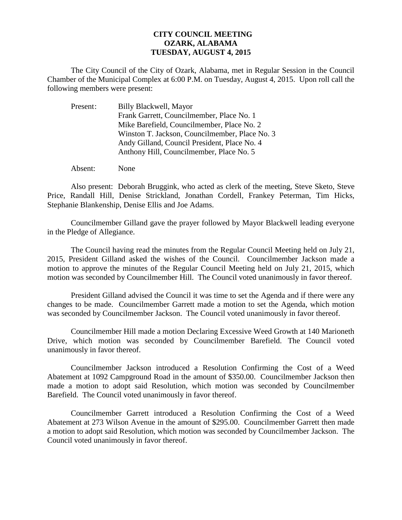## **CITY COUNCIL MEETING OZARK, ALABAMA TUESDAY, AUGUST 4, 2015**

The City Council of the City of Ozark, Alabama, met in Regular Session in the Council Chamber of the Municipal Complex at 6:00 P.M. on Tuesday, August 4, 2015. Upon roll call the following members were present:

| Present: | Billy Blackwell, Mayor                         |
|----------|------------------------------------------------|
|          | Frank Garrett, Councilmember, Place No. 1      |
|          | Mike Barefield, Councilmember, Place No. 2     |
|          | Winston T. Jackson, Councilmember, Place No. 3 |
|          | Andy Gilland, Council President, Place No. 4   |
|          | Anthony Hill, Councilmember, Place No. 5       |
|          |                                                |

Absent: None

Also present: Deborah Bruggink, who acted as clerk of the meeting, Steve Sketo, Steve Price, Randall Hill, Denise Strickland, Jonathan Cordell, Frankey Peterman, Tim Hicks, Stephanie Blankenship, Denise Ellis and Joe Adams.

Councilmember Gilland gave the prayer followed by Mayor Blackwell leading everyone in the Pledge of Allegiance.

The Council having read the minutes from the Regular Council Meeting held on July 21, 2015, President Gilland asked the wishes of the Council. Councilmember Jackson made a motion to approve the minutes of the Regular Council Meeting held on July 21, 2015, which motion was seconded by Councilmember Hill. The Council voted unanimously in favor thereof.

President Gilland advised the Council it was time to set the Agenda and if there were any changes to be made. Councilmember Garrett made a motion to set the Agenda, which motion was seconded by Councilmember Jackson. The Council voted unanimously in favor thereof.

Councilmember Hill made a motion Declaring Excessive Weed Growth at 140 Marioneth Drive, which motion was seconded by Councilmember Barefield. The Council voted unanimously in favor thereof.

 Councilmember Jackson introduced a Resolution Confirming the Cost of a Weed Abatement at 1092 Campground Road in the amount of \$350.00. Councilmember Jackson then made a motion to adopt said Resolution, which motion was seconded by Councilmember Barefield. The Council voted unanimously in favor thereof.

 Councilmember Garrett introduced a Resolution Confirming the Cost of a Weed Abatement at 273 Wilson Avenue in the amount of \$295.00. Councilmember Garrett then made a motion to adopt said Resolution, which motion was seconded by Councilmember Jackson. The Council voted unanimously in favor thereof.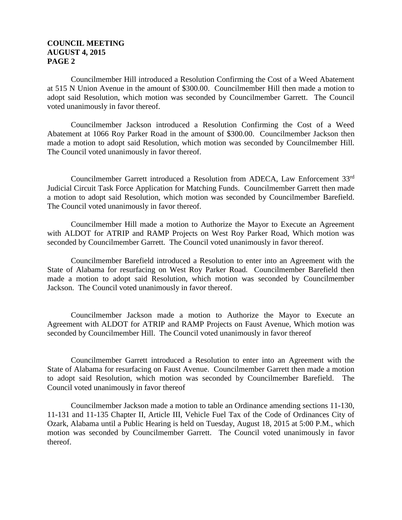## **COUNCIL MEETING AUGUST 4, 2015 PAGE 2**

 Councilmember Hill introduced a Resolution Confirming the Cost of a Weed Abatement at 515 N Union Avenue in the amount of \$300.00. Councilmember Hill then made a motion to adopt said Resolution, which motion was seconded by Councilmember Garrett. The Council voted unanimously in favor thereof.

 Councilmember Jackson introduced a Resolution Confirming the Cost of a Weed Abatement at 1066 Roy Parker Road in the amount of \$300.00. Councilmember Jackson then made a motion to adopt said Resolution, which motion was seconded by Councilmember Hill. The Council voted unanimously in favor thereof.

 Councilmember Garrett introduced a Resolution from ADECA, Law Enforcement 33rd Judicial Circuit Task Force Application for Matching Funds. Councilmember Garrett then made a motion to adopt said Resolution, which motion was seconded by Councilmember Barefield. The Council voted unanimously in favor thereof.

Councilmember Hill made a motion to Authorize the Mayor to Execute an Agreement with ALDOT for ATRIP and RAMP Projects on West Roy Parker Road, Which motion was seconded by Councilmember Garrett. The Council voted unanimously in favor thereof.

 Councilmember Barefield introduced a Resolution to enter into an Agreement with the State of Alabama for resurfacing on West Roy Parker Road. Councilmember Barefield then made a motion to adopt said Resolution, which motion was seconded by Councilmember Jackson. The Council voted unanimously in favor thereof.

 Councilmember Jackson made a motion to Authorize the Mayor to Execute an Agreement with ALDOT for ATRIP and RAMP Projects on Faust Avenue, Which motion was seconded by Councilmember Hill. The Council voted unanimously in favor thereof

Councilmember Garrett introduced a Resolution to enter into an Agreement with the State of Alabama for resurfacing on Faust Avenue. Councilmember Garrett then made a motion to adopt said Resolution, which motion was seconded by Councilmember Barefield. The Council voted unanimously in favor thereof

 Councilmember Jackson made a motion to table an Ordinance amending sections 11-130, 11-131 and 11-135 Chapter II, Article III, Vehicle Fuel Tax of the Code of Ordinances City of Ozark, Alabama until a Public Hearing is held on Tuesday, August 18, 2015 at 5:00 P.M., which motion was seconded by Councilmember Garrett. The Council voted unanimously in favor thereof.